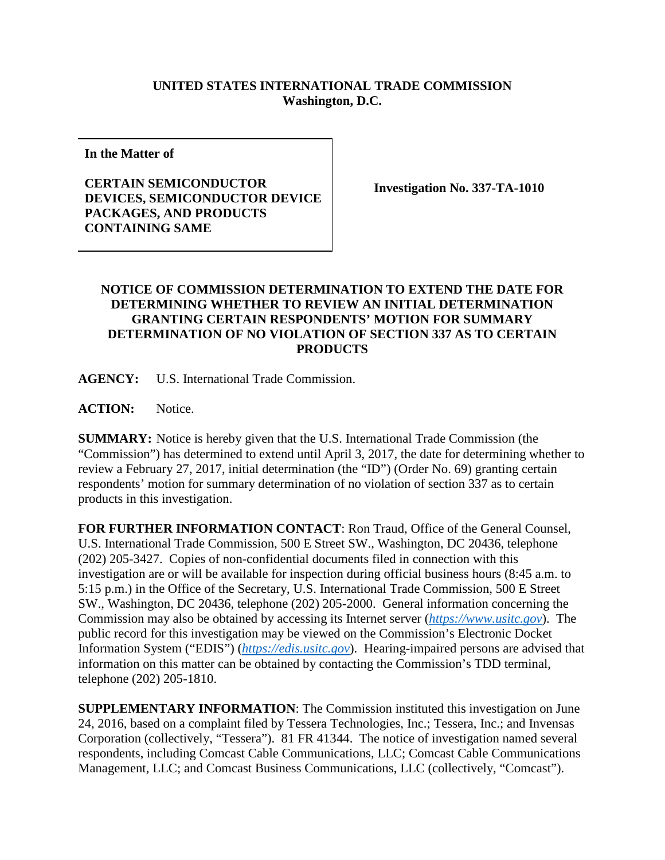## **UNITED STATES INTERNATIONAL TRADE COMMISSION Washington, D.C.**

**In the Matter of**

## **CERTAIN SEMICONDUCTOR DEVICES, SEMICONDUCTOR DEVICE PACKAGES, AND PRODUCTS CONTAINING SAME**

**Investigation No. 337-TA-1010**

## **NOTICE OF COMMISSION DETERMINATION TO EXTEND THE DATE FOR DETERMINING WHETHER TO REVIEW AN INITIAL DETERMINATION GRANTING CERTAIN RESPONDENTS' MOTION FOR SUMMARY DETERMINATION OF NO VIOLATION OF SECTION 337 AS TO CERTAIN PRODUCTS**

**AGENCY:** U.S. International Trade Commission.

**ACTION:** Notice.

**SUMMARY:** Notice is hereby given that the U.S. International Trade Commission (the "Commission") has determined to extend until April 3, 2017, the date for determining whether to review a February 27, 2017, initial determination (the "ID") (Order No. 69) granting certain respondents' motion for summary determination of no violation of section 337 as to certain products in this investigation.

**FOR FURTHER INFORMATION CONTACT**: Ron Traud, Office of the General Counsel, U.S. International Trade Commission, 500 E Street SW., Washington, DC 20436, telephone (202) 205-3427. Copies of non-confidential documents filed in connection with this investigation are or will be available for inspection during official business hours (8:45 a.m. to 5:15 p.m.) in the Office of the Secretary, U.S. International Trade Commission, 500 E Street SW., Washington, DC 20436, telephone (202) 205-2000. General information concerning the Commission may also be obtained by accessing its Internet server (*[https://www.usitc.gov](https://www.usitc.gov/)*). The public record for this investigation may be viewed on the Commission's Electronic Docket Information System ("EDIS") (*[https://edis.usitc.gov](https://edis.usitc.gov/)*). Hearing-impaired persons are advised that information on this matter can be obtained by contacting the Commission's TDD terminal, telephone (202) 205-1810.

**SUPPLEMENTARY INFORMATION**: The Commission instituted this investigation on June 24, 2016, based on a complaint filed by Tessera Technologies, Inc.; Tessera, Inc.; and Invensas Corporation (collectively, "Tessera"). 81 FR 41344. The notice of investigation named several respondents, including Comcast Cable Communications, LLC; Comcast Cable Communications Management, LLC; and Comcast Business Communications, LLC (collectively, "Comcast").